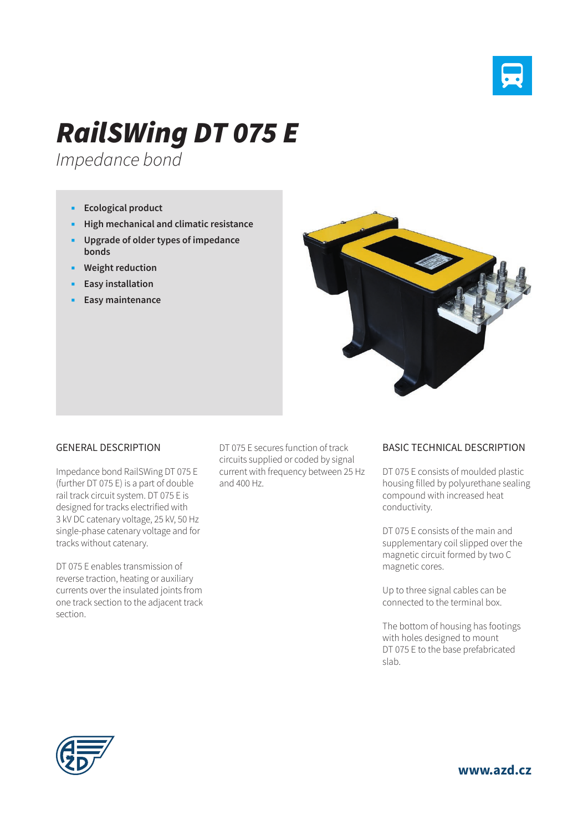

## *RailSWing DT 075 E*

*Impedance bond*

- **Ecological product**
- **High mechanical and climatic resistance**
- **Upgrade of older types of impedance bonds**
- **Weight reduction**
- **Easy installation**
- **Easy maintenance**



## GENERAL DESCRIPTION

Impedance bond RailSWing DT 075 E (further DT 075 E) is a part of double rail track circuit system. DT 075 E is designed for tracks electrified with 3 kV DC catenary voltage, 25 kV, 50 Hz single-phase catenary voltage and for tracks without catenary.

DT 075 E enables transmission of reverse traction, heating or auxiliary currents over the insulated joints from one track section to the adjacent track section.

DT 075 E secures function of track circuits supplied or coded by signal current with frequency between 25 Hz and 400 Hz.

## BASIC TECHNICAL DESCRIPTION

DT 075 E consists of moulded plastic housing filled by polyurethane sealing compound with increased heat conductivity.

DT 075 E consists of the main and supplementary coil slipped over the magnetic circuit formed by two C magnetic cores.

Up to three signal cables can be connected to the terminal box.

The bottom of housing has footings with holes designed to mount DT 075 E to the base prefabricated slab.



**www.azd.cz**